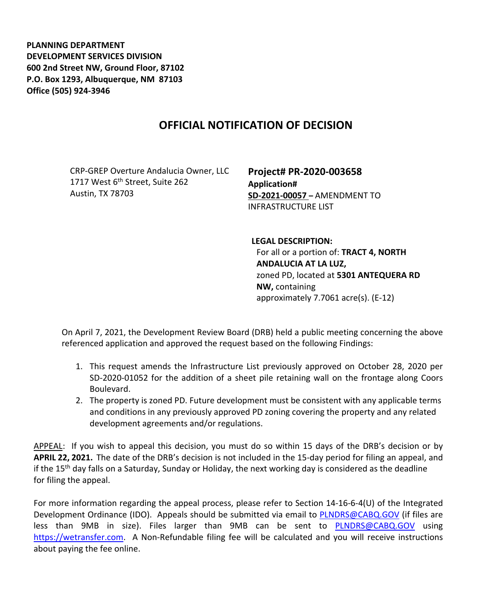**PLANNING DEPARTMENT DEVELOPMENT SERVICES DIVISION 600 2nd Street NW, Ground Floor, 87102 P.O. Box 1293, Albuquerque, NM 87103 Office (505) 924-3946** 

## **OFFICIAL NOTIFICATION OF DECISION**

CRP-GREP Overture Andalucia Owner, LLC 1717 West 6<sup>th</sup> Street, Suite 262 Austin, TX 78703

**Project# PR-2020-003658 Application# SD-2021-00057 –** AMENDMENT TO INFRASTRUCTURE LIST

**LEGAL DESCRIPTION:** For all or a portion of: **TRACT 4, NORTH ANDALUCIA AT LA LUZ,**  zoned PD, located at **5301 ANTEQUERA RD NW,** containing approximately 7.7061 acre(s). (E-12)

On April 7, 2021, the Development Review Board (DRB) held a public meeting concerning the above referenced application and approved the request based on the following Findings:

- 1. This request amends the Infrastructure List previously approved on October 28, 2020 per SD-2020-01052 for the addition of a sheet pile retaining wall on the frontage along Coors Boulevard.
- 2. The property is zoned PD. Future development must be consistent with any applicable terms and conditions in any previously approved PD zoning covering the property and any related development agreements and/or regulations.

APPEAL: If you wish to appeal this decision, you must do so within 15 days of the DRB's decision or by **APRIL 22, 2021.** The date of the DRB's decision is not included in the 15-day period for filing an appeal, and if the 15th day falls on a Saturday, Sunday or Holiday, the next working day is considered as the deadline for filing the appeal.

For more information regarding the appeal process, please refer to Section 14-16-6-4(U) of the Integrated Development Ordinance (IDO). Appeals should be submitted via email to [PLNDRS@CABQ.GOV](mailto:PLNDRS@CABQ.GOV) (if files are less than 9MB in size). Files larger than 9MB can be sent to **[PLNDRS@CABQ.GOV](mailto:PLNDRS@CABQ.GOV)** using [https://wetransfer.com.](https://wetransfer.com/) A Non-Refundable filing fee will be calculated and you will receive instructions about paying the fee online.